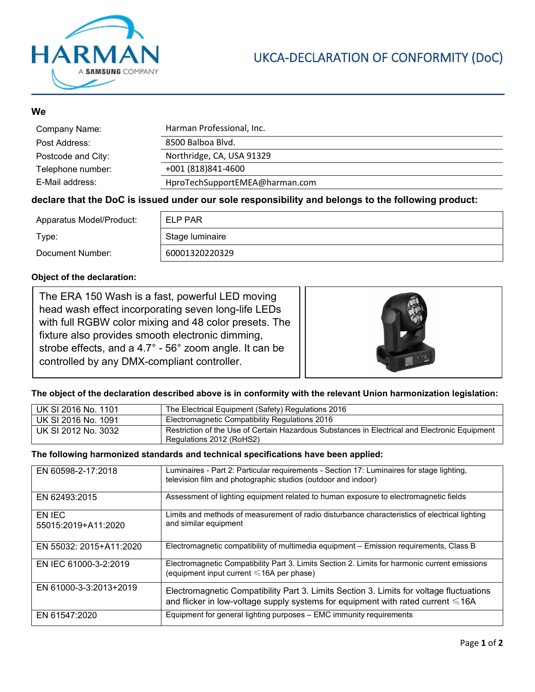

# UKCA-DECLARATION OF CONFORMITY (DoC)

## **We**

| Company Name:      | Harman Professional, Inc.      |
|--------------------|--------------------------------|
| Post Address:      | 8500 Balboa Blvd.              |
| Postcode and City: | Northridge, CA, USA 91329      |
| Telephone number:  | +001 (818) 841-4600            |
| E-Mail address:    | HproTechSupportEMEA@harman.com |

### **declare that the DoC is issued under our sole responsibility and belongs to the following product:**

| Apparatus Model/Product: | ELP PAR         |
|--------------------------|-----------------|
| Type:                    | Stage luminaire |
| Document Number:         | 60001320220329  |

#### **Object of the declaration:**

The ERA 150 Wash is a fast, powerful LED moving head wash effect incorporating seven long-life LEDs with full RGBW color mixing and 48 color presets. The fixture also provides smooth electronic dimming, strobe effects, and a 4.7° - 56° zoom angle. It can be controlled by any DMX-compliant controller.



#### **The object of the declaration described above is in conformity with the relevant Union harmonization legislation:**

| UK SI 2016 No. 1101 | The Electrical Equipment (Safety) Regulations 2016                                                                        |
|---------------------|---------------------------------------------------------------------------------------------------------------------------|
| UK SI 2016 No. 1091 | Electromagnetic Compatibility Regulations 2016                                                                            |
| UK SI 2012 No. 3032 | Restriction of the Use of Certain Hazardous Substances in Electrical and Electronic Equipment<br>Regulations 2012 (RoHS2) |

#### **The following harmonized standards and technical specifications have been applied:**

| EN 60598-2-17:2018            | Luminaires - Part 2: Particular requirements - Section 17: Luminaires for stage lighting,<br>television film and photographic studios (outdoor and indoor)                 |
|-------------------------------|----------------------------------------------------------------------------------------------------------------------------------------------------------------------------|
| EN 62493:2015                 | Assessment of lighting equipment related to human exposure to electromagnetic fields                                                                                       |
| EN IEC<br>55015:2019+A11:2020 | Limits and methods of measurement of radio disturbance characteristics of electrical lighting<br>and similar equipment                                                     |
| EN 55032: 2015+A11:2020       | Electromagnetic compatibility of multimedia equipment – Emission requirements, Class B                                                                                     |
| EN IEC 61000-3-2:2019         | Electromagnetic Compatibility Part 3. Limits Section 2. Limits for harmonic current emissions<br>(equipment input current $\leq 16A$ per phase)                            |
| EN 61000-3-3:2013+2019        | Electromagnetic Compatibility Part 3. Limits Section 3. Limits for voltage fluctuations<br>and flicker in low-voltage supply systems for equipment with rated current ≤16A |
| EN 61547:2020                 | Equipment for general lighting purposes - EMC immunity requirements                                                                                                        |